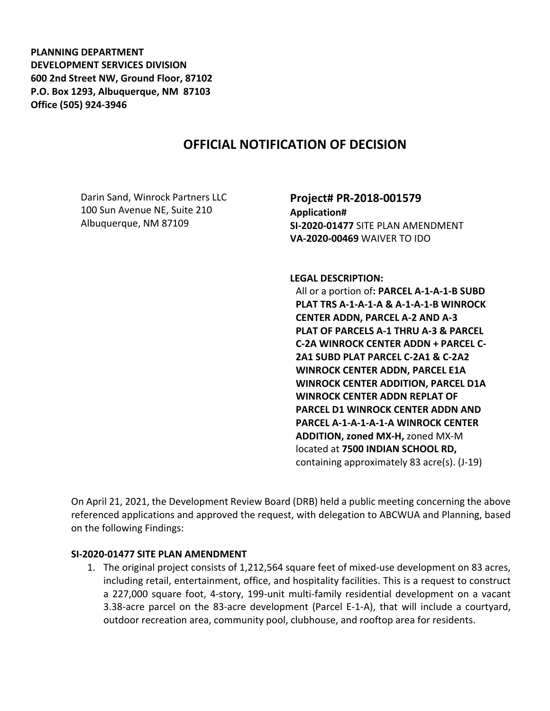**PLANNING DEPARTMENT DEVELOPMENT SERVICES DIVISION 600 2nd Street NW, Ground Floor, 87102 P.O. Box 1293, Albuquerque, NM 87103 Office (505) 924-3946** 

## **OFFICIAL NOTIFICATION OF DECISION**

Darin Sand, Winrock Partners LLC 100 Sun Avenue NE, Suite 210 Albuquerque, NM 87109

**Project# PR-2018-001579 Application# SI-2020-01477** SITE PLAN AMENDMENT **VA-2020-00469** WAIVER TO IDO

**LEGAL DESCRIPTION:**

All or a portion of**: PARCEL A-1-A-1-B SUBD PLAT TRS A-1-A-1-A & A-1-A-1-B WINROCK CENTER ADDN, PARCEL A-2 AND A-3 PLAT OF PARCELS A-1 THRU A-3 & PARCEL C-2A WINROCK CENTER ADDN + PARCEL C-2A1 SUBD PLAT PARCEL C-2A1 & C-2A2 WINROCK CENTER ADDN, PARCEL E1A WINROCK CENTER ADDITION, PARCEL D1A WINROCK CENTER ADDN REPLAT OF PARCEL D1 WINROCK CENTER ADDN AND PARCEL A-1-A-1-A-1-A WINROCK CENTER ADDITION, zoned MX-H,** zoned MX-M located at **7500 INDIAN SCHOOL RD,**  containing approximately 83 acre(s). (J-19)

On April 21, 2021, the Development Review Board (DRB) held a public meeting concerning the above referenced applications and approved the request, with delegation to ABCWUA and Planning, based on the following Findings:

## **SI-2020-01477 SITE PLAN AMENDMENT**

1. The original project consists of 1,212,564 square feet of mixed-use development on 83 acres, including retail, entertainment, office, and hospitality facilities. This is a request to construct a 227,000 square foot, 4-story, 199-unit multi-family residential development on a vacant 3.38-acre parcel on the 83-acre development (Parcel E-1-A), that will include a courtyard, outdoor recreation area, community pool, clubhouse, and rooftop area for residents.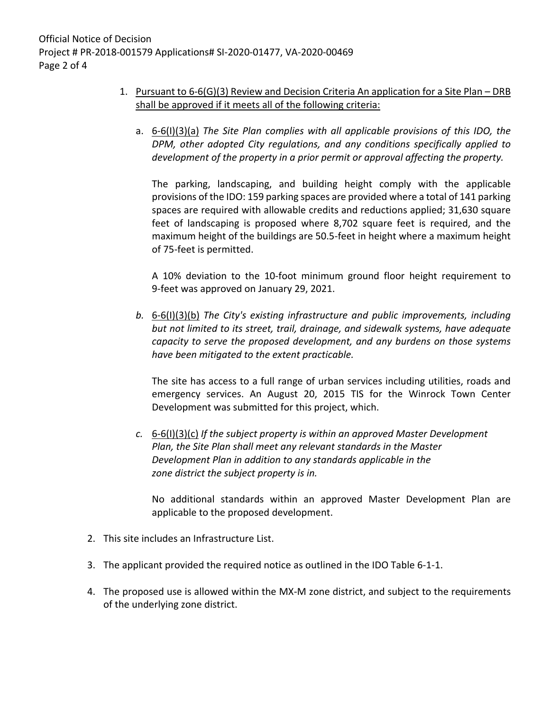- 1. Pursuant to 6-6(G)(3) Review and Decision Criteria An application for a Site Plan DRB shall be approved if it meets all of the following criteria:
	- a. 6-6(I)(3)(a) *The Site Plan complies with all applicable provisions of this IDO, the DPM, other adopted City regulations, and any conditions specifically applied to development of the property in a prior permit or approval affecting the property.*

The parking, landscaping, and building height comply with the applicable provisions of the IDO: 159 parking spaces are provided where a total of 141 parking spaces are required with allowable credits and reductions applied; 31,630 square feet of landscaping is proposed where 8,702 square feet is required, and the maximum height of the buildings are 50.5-feet in height where a maximum height of 75-feet is permitted.

A 10% deviation to the 10-foot minimum ground floor height requirement to 9-feet was approved on January 29, 2021.

*b.* 6-6(I)(3)(b) *The City's existing infrastructure and public improvements, including but not limited to its street, trail, drainage, and sidewalk systems, have adequate capacity to serve the proposed development, and any burdens on those systems have been mitigated to the extent practicable.* 

The site has access to a full range of urban services including utilities, roads and emergency services. An August 20, 2015 TIS for the Winrock Town Center Development was submitted for this project, which.

*c.* 6-6(I)(3)(c) *If the subject property is within an approved Master Development Plan, the Site Plan shall meet any relevant standards in the Master Development Plan in addition to any standards applicable in the zone district the subject property is in.*

No additional standards within an approved Master Development Plan are applicable to the proposed development.

- 2. This site includes an Infrastructure List.
- 3. The applicant provided the required notice as outlined in the IDO Table 6-1-1.
- 4. The proposed use is allowed within the MX-M zone district, and subject to the requirements of the underlying zone district.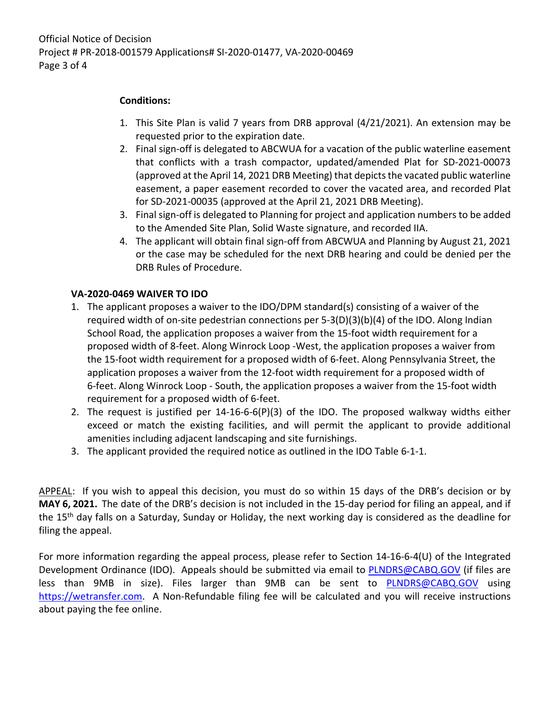## **Conditions:**

- 1. This Site Plan is valid 7 years from DRB approval (4/21/2021). An extension may be requested prior to the expiration date.
- 2. Final sign-off is delegated to ABCWUA for a vacation of the public waterline easement that conflicts with a trash compactor, updated/amended Plat for SD-2021-00073 (approved at the April 14, 2021 DRB Meeting) that depicts the vacated public waterline easement, a paper easement recorded to cover the vacated area, and recorded Plat for SD-2021-00035 (approved at the April 21, 2021 DRB Meeting).
- 3. Final sign-off is delegated to Planning for project and application numbers to be added to the Amended Site Plan, Solid Waste signature, and recorded IIA.
- 4. The applicant will obtain final sign-off from ABCWUA and Planning by August 21, 2021 or the case may be scheduled for the next DRB hearing and could be denied per the DRB Rules of Procedure.

## **VA-2020-0469 WAIVER TO IDO**

- 1. The applicant proposes a waiver to the IDO/DPM standard(s) consisting of a waiver of the required width of on-site pedestrian connections per 5-3(D)(3)(b)(4) of the IDO. Along Indian School Road, the application proposes a waiver from the 15-foot width requirement for a proposed width of 8-feet. Along Winrock Loop -West, the application proposes a waiver from the 15-foot width requirement for a proposed width of 6-feet. Along Pennsylvania Street, the application proposes a waiver from the 12-foot width requirement for a proposed width of 6-feet. Along Winrock Loop - South, the application proposes a waiver from the 15-foot width requirement for a proposed width of 6-feet.
- 2. The request is justified per 14-16-6-6(P)(3) of the IDO. The proposed walkway widths either exceed or match the existing facilities, and will permit the applicant to provide additional amenities including adjacent landscaping and site furnishings.
- 3. The applicant provided the required notice as outlined in the IDO Table 6-1-1.

APPEAL: If you wish to appeal this decision, you must do so within 15 days of the DRB's decision or by **MAY 6, 2021.** The date of the DRB's decision is not included in the 15-day period for filing an appeal, and if the 15<sup>th</sup> day falls on a Saturday, Sunday or Holiday, the next working day is considered as the deadline for filing the appeal.

For more information regarding the appeal process, please refer to Section 14-16-6-4(U) of the Integrated Development Ordinance (IDO). Appeals should be submitted via email to [PLNDRS@CABQ.GOV](mailto:PLNDRS@CABQ.GOV) (if files are less than 9MB in size). Files larger than 9MB can be sent to **[PLNDRS@CABQ.GOV](mailto:PLNDRS@CABQ.GOV)** using [https://wetransfer.com.](https://wetransfer.com/) A Non-Refundable filing fee will be calculated and you will receive instructions about paying the fee online.